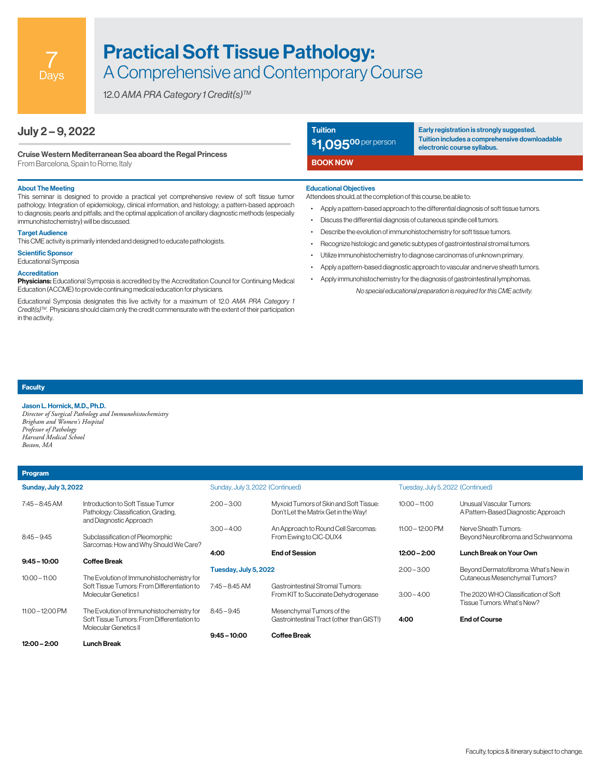7 **Days** 

# Practical Soft Tissue Pathology: A Comprehensive and Contemporary Course

12.0 *AMA PRA Category 1 Credit(s)TM*

# July 2 – 9, 2022

### Cruise Western Mediterranean Sea aboard the Regal Princess

From Barcelona, Spain to Rome, Italy

### About The Meeting

This seminar is designed to provide a practical yet comprehensive review of soft tissue tumor pathology. Integration of epidemiology, clinical information, and histology; a pattern-based approach to diagnosis; pearls and pitfalls; and the optimal application of ancillary diagnostic methods (especially immunohistochemistry) will be discussed.

#### Target Audience

This CME activity is primarily intended and designed to educate pathologists.

#### Scientific Sponsor

Educational Symposia

## Accreditation

Physicians: Educational Symposia is accredited by the Accreditation Council for Continuing Medical Education (ACCME) to provide continuing medical education for physicians.

Educational Symposia designates this live activity for a maximum of 12.0 *AMA PRA Category 1 Credit(s)TM*. Physicians should claim only the credit commensurate with the extent of their participation in the activity.

# **Tuition** \$1.09500 per person

Early registration is strongly suggested. Tuition includes a comprehensive downloadable electronic course syllabus.

### Educational Objectives

BOOK NOW

Attendees should, at the completion of this course, be able to:

- Apply a pattern-based approach to the differential diagnosis of soft tissue tumors.
- Discuss the differential diagnosis of cutaneous spindle cell tumors.
- Describe the evolution of immunohistochemistry for soft tissue tumors.
- Recognize histologic and genetic subtypes of gastrointestinal stromal tumors.
- Utilize immunohistochemistry to diagnose carcinomas of unknown primary.
- Apply a pattern-based diagnostic approach to vascular and nerve sheath tumors.
- Apply immunohistochemistry for the diagnosis of gastrointestinal lymphomas. *No special educational preparation is required for this CME activity.*

# **Faculty**

Jason L. Hornick, M.D., Ph.D. *Director of Surgical Pathology and Immunohistochemistry Brigham and Women's Hospital Professor of Pathology Harvard Medical School Boston, MA*

| <b>Program</b>                    |                                                                                                                   |                                  |                                                                                |                                   |                                                                       |  |
|-----------------------------------|-------------------------------------------------------------------------------------------------------------------|----------------------------------|--------------------------------------------------------------------------------|-----------------------------------|-----------------------------------------------------------------------|--|
| Sunday, July 3, 2022              |                                                                                                                   | Sunday, July 3, 2022 (Continued) |                                                                                | Tuesday, July 5, 2022 (Continued) |                                                                       |  |
| $7:45 - 8:45$ AM                  | Introduction to Soft Tissue Tumor<br>Pathology: Classification, Grading,<br>and Diagnostic Approach               | $2:00 - 3:00$                    | Myxoid Tumors of Skin and Soft Tissue:<br>Don't Let the Matrix Get in the Way! | $10:00 - 11:00$                   | Unusual Vascular Tumors:<br>A Pattern-Based Diagnostic Approach       |  |
| $8:45 - 9:45$                     | Subclassification of Pleomorphic<br>Sarcomas: How and Why Should We Care?                                         | $3:00 - 4:00$                    | An Approach to Round Cell Sarcomas:<br>From Ewing to CIC-DUX4                  | $11:00 - 12:00 \text{ PM}$        | Nerve Sheath Tumors:<br>Beyond Neurofibroma and Schwannoma            |  |
|                                   |                                                                                                                   | 4:00                             | <b>End of Session</b>                                                          | $12:00 - 2:00$                    | Lunch Break on Your Own                                               |  |
| $9:45 - 10:00$<br>$10:00 - 11:00$ | <b>Coffee Break</b><br>The Evolution of Immunohistochemistry for                                                  | Tuesday, July 5, 2022            |                                                                                | $2:00 - 3:00$                     | Beyond Dermatofibroma: What's New in<br>Cutaneous Mesenchymal Tumors? |  |
|                                   | Soft Tissue Tumors: From Differentiation to<br>Molecular Genetics I                                               | $7:45 - 8:45$ AM                 | Gastrointestinal Stromal Tumors:<br>From KIT to Succinate Dehydrogenase        | $3:00 - 4:00$                     | The 2020 WHO Classification of Soft<br>Tissue Tumors: What's New?     |  |
| $11:00 - 12:00 \text{ PM}$        | The Evolution of Immunohistochemistry for<br>Soft Tissue Tumors: From Differentiation to<br>Molecular Genetics II | $8:45 - 9:45$                    | Mesenchymal Tumors of the<br>Gastrointestinal Tract (other than GIST!)         | 4:00                              | <b>End of Course</b>                                                  |  |
| $12:00 - 2:00$                    | Lunch Break                                                                                                       | $9:45 - 10:00$                   | <b>Coffee Break</b>                                                            |                                   |                                                                       |  |